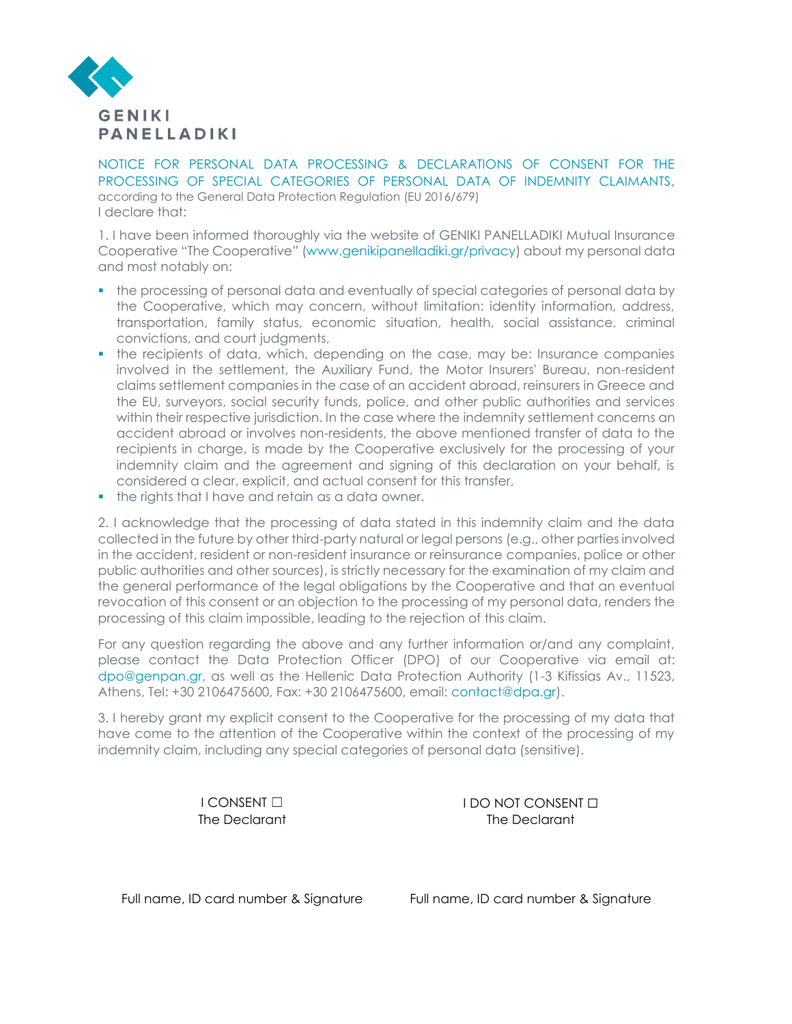

NOTICE FOR PERSONAL DATA PROCESSING & DECLARATIONS OF CONSENT FOR THE PROCESSING OF SPECIAL CATEGORIES OF PERSONAL DATA OF INDEMNITY CLAIMANTS, according to the General Data Protection Regulation (EU 2016/679) I declare that:

1. I have been informed thoroughly via the website of GENIKI PANELLADIKI Mutual Insurance Cooperative "The Cooperative" (www.genikipanelladiki.gr/privacy) about my personal data and most notably on:

- the processing of personal data and eventually of special categories of personal data by the Cooperative, which may concern, without limitation: identity information, address, transportation, family status, economic situation, health, social assistance, criminal convictions, and court judgments,
- the recipients of data, which, depending on the case, may be: Insurance companies involved in the settlement, the Auxiliary Fund, the Motor Insurers' Bureau, non-resident claims settlement companies in the case of an accident abroad, reinsurers in Greece and the EU, surveyors, social security funds, police, and other public authorities and services within their respective jurisdiction. In the case where the indemnity settlement concerns an accident abroad or involves non-residents, the above mentioned transfer of data to the recipients in charge, is made by the Cooperative exclusively for the processing of your indemnity claim and the agreement and signing of this declaration on your behalf, is considered a clear, explicit, and actual consent for this transfer,
- **•** the rights that I have and retain as a data owner.

2. I acknowledge that the processing of data stated in this indemnity claim and the data collected in the future by other third-party natural or legal persons (e.g., other parties involved in the accident, resident or non-resident insurance or reinsurance companies, police or other public authorities and other sources), is strictly necessary for the examination of my claim and the general performance of the legal obligations by the Cooperative and that an eventual revocation of this consent or an objection to the processing of my personal data, renders the processing of this claim impossible, leading to the rejection of this claim.

For any question regarding the above and any further information or/and any complaint, please contact the Data Protection Officer (DPO) of our Cooperative via email at: dpo@genpan.gr, as well as the Hellenic Data Protection Authority (1-3 Kifissias Av., 11523, Athens, Tel: +30 2106475600, Fax: +30 2106475600, email: [contact@dpa.gr\)](mailto:contact@dpa.gr).

3. I hereby grant my explicit consent to the Cooperative for the processing of my data that have come to the attention of the Cooperative within the context of the processing of my indemnity claim, including any special categories of personal data (sensitive).

I CONSENT □ IDO NOT CONSENT □ The Declarant The Declarant

Full name, ID card number & Signature Full name, ID card number & Signature